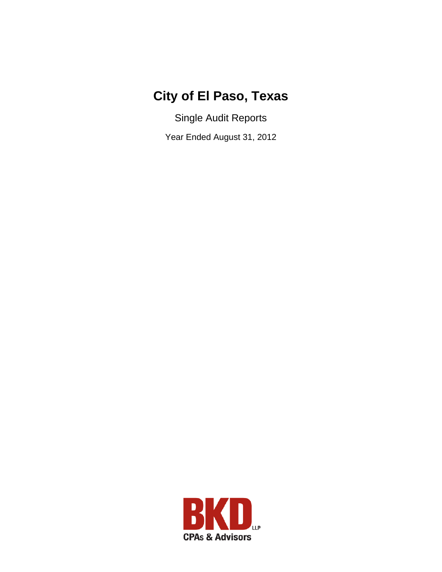# **City of El Paso, Texas**

Single Audit Reports

Year Ended August 31, 2012

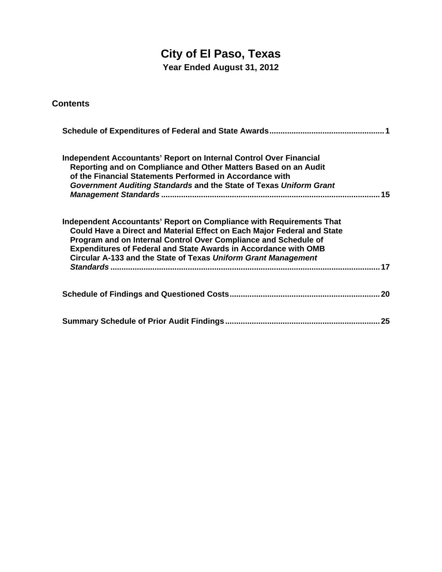# **City of El Paso, Texas**

**Year Ended August 31, 2012** 

**Contents** 

| <b>Independent Accountants' Report on Internal Control Over Financial</b><br>Reporting and on Compliance and Other Matters Based on an Audit<br>of the Financial Statements Performed in Accordance with<br>Government Auditing Standards and the State of Texas Uniform Grant                                                                                 | .15 |
|----------------------------------------------------------------------------------------------------------------------------------------------------------------------------------------------------------------------------------------------------------------------------------------------------------------------------------------------------------------|-----|
| Independent Accountants' Report on Compliance with Requirements That<br>Could Have a Direct and Material Effect on Each Major Federal and State<br>Program and on Internal Control Over Compliance and Schedule of<br><b>Expenditures of Federal and State Awards in Accordance with OMB</b><br>Circular A-133 and the State of Texas Uniform Grant Management | 17  |
|                                                                                                                                                                                                                                                                                                                                                                |     |
|                                                                                                                                                                                                                                                                                                                                                                |     |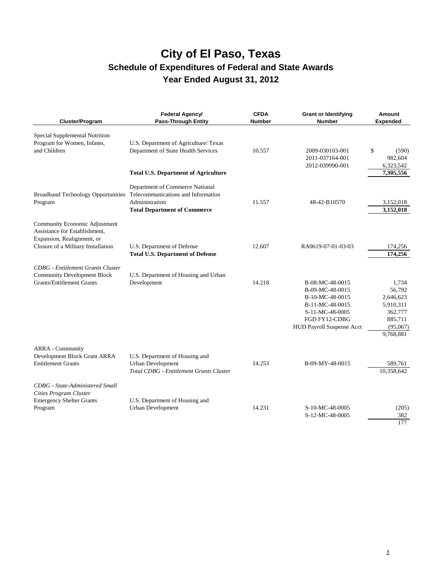| Cluster/Program                                                                                                                    | Federal Agency/<br><b>Pass-Through Entity</b>                                                                                                                     | <b>CFDA</b><br><b>Number</b> | <b>Grant or Identifying</b><br><b>Number</b>                                                                                              | Amount<br><b>Expended</b>                                                                |
|------------------------------------------------------------------------------------------------------------------------------------|-------------------------------------------------------------------------------------------------------------------------------------------------------------------|------------------------------|-------------------------------------------------------------------------------------------------------------------------------------------|------------------------------------------------------------------------------------------|
| Special Supplemental Nutrition<br>Program for Women, Infants,<br>and Children                                                      | U.S. Department of Agriculture/ Texas<br>Department of State Health Services<br><b>Total U.S. Department of Agriculture</b>                                       | 10.557                       | 2009-030103-001<br>2011-037164-001<br>2012-039990-001                                                                                     | \$<br>(590)<br>982,604<br>6,323,542<br>7,305,556                                         |
| Program                                                                                                                            | Department of Commerce National<br>Broadband Technology Opportunities Telecommunications and Information<br>Administration<br><b>Total Department of Commerce</b> | 11.557                       | 48-42-B10570                                                                                                                              | 3,152,018<br>3,152,018                                                                   |
| Community Economic Adjustment<br>Assistance for Establishment,<br>Expansion, Realignment, or<br>Closure of a Military Installation | U.S. Department of Defense<br><b>Total U.S. Department of Defense</b>                                                                                             | 12.607                       | RA0619-07-01-03-03                                                                                                                        | 174,256<br>174,256                                                                       |
| <b>CDBG</b> - Entitlement Grants Cluster<br><b>Community Development Block</b><br><b>Grants/Entitlement Grants</b>                 | U.S. Department of Housing and Urban<br>Development                                                                                                               | 14.218                       | B-08-MC-48-0015<br>B-09-MC-48-0015<br>B-10-MC-48-0015<br>B-11-MC-48-0015<br>S-11-MC-48-0005<br>FGD FY12-CDBG<br>HUD Payroll Suspense Acct | 1.734<br>56,792<br>2,646,623<br>5,910,311<br>362,777<br>885,711<br>(95,067)<br>9,768,881 |
| <b>ARRA</b> - Community<br>Development Block Grant ARRA<br><b>Entitlement Grants</b>                                               | U.S. Department of Housing and<br><b>Urban Development</b><br><b>Total CDBG - Entitlement Grants Cluster</b>                                                      | 14.253                       | B-09-MY-48-0015                                                                                                                           | 589,761<br>10,358,642                                                                    |
| <b>CDBG</b> - State-Administered Small<br>Cities Program Cluster<br><b>Emergency Shelter Grants</b><br>Program                     | U.S. Department of Housing and<br><b>Urban Development</b>                                                                                                        | 14.231                       | S-10-MC-48-0005<br>S-12-MC-48-0005                                                                                                        | (205)<br>382<br>177                                                                      |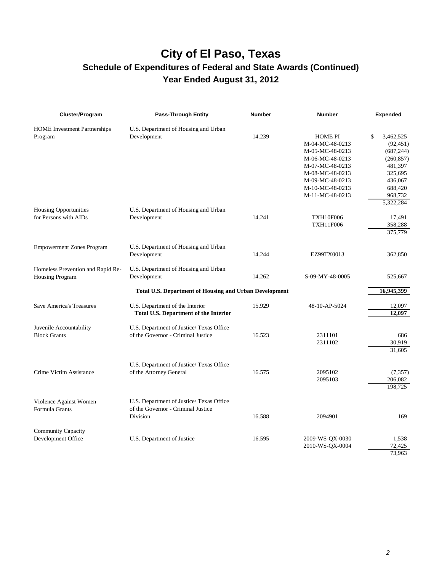# **City of El Paso, Texas**

### **Schedule of Expenditures of Federal and State Awards (Continued) Year Ended August 31, 2012**

| Cluster/Program                                       | <b>Pass-Through Entity</b>                                    | <b>Number</b> | <b>Number</b>    | <b>Expended</b> |
|-------------------------------------------------------|---------------------------------------------------------------|---------------|------------------|-----------------|
| <b>HOME</b> Investment Partnerships                   | U.S. Department of Housing and Urban                          |               |                  |                 |
| Program                                               | Development                                                   | 14.239        | <b>HOME PI</b>   | \$<br>3,462,525 |
|                                                       |                                                               |               | M-04-MC-48-0213  | (92, 451)       |
|                                                       |                                                               |               | M-05-MC-48-0213  | (687, 244)      |
|                                                       |                                                               |               | M-06-MC-48-0213  | (260, 857)      |
|                                                       |                                                               |               | M-07-MC-48-0213  | 481,397         |
|                                                       |                                                               |               | M-08-MC-48-0213  | 325,695         |
|                                                       |                                                               |               | M-09-MC-48-0213  | 436,067         |
|                                                       |                                                               |               | M-10-MC-48-0213  | 688,420         |
|                                                       |                                                               |               | M-11-MC-48-0213  | 968,732         |
|                                                       |                                                               |               |                  | 5,322,284       |
| <b>Housing Opportunities</b><br>for Persons with AIDs | U.S. Department of Housing and Urban                          | 14.241        | <b>TXH10F006</b> | 17,491          |
|                                                       | Development                                                   |               | <b>TXH11F006</b> |                 |
|                                                       |                                                               |               |                  | 358,288         |
|                                                       |                                                               |               |                  | 375,779         |
| <b>Empowerment Zones Program</b>                      | U.S. Department of Housing and Urban                          |               |                  |                 |
|                                                       | Development                                                   | 14.244        | EZ99TX0013       | 362,850         |
| Homeless Prevention and Rapid Re-                     | U.S. Department of Housing and Urban                          |               |                  |                 |
| <b>Housing Program</b>                                | Development                                                   | 14.262        | S-09-MY-48-0005  | 525,667         |
|                                                       |                                                               |               |                  |                 |
|                                                       | <b>Total U.S. Department of Housing and Urban Development</b> |               |                  | 16,945,399      |
| <b>Save America's Treasures</b>                       | U.S. Department of the Interior                               | 15.929        | 48-10-AP-5024    | 12,097          |
|                                                       | <b>Total U.S. Department of the Interior</b>                  |               |                  | 12,097          |
| Juvenile Accountability                               | U.S. Department of Justice/ Texas Office                      |               |                  |                 |
| <b>Block Grants</b>                                   | of the Governor - Criminal Justice                            | 16.523        | 2311101          | 686             |
|                                                       |                                                               |               | 2311102          | 30,919          |
|                                                       |                                                               |               |                  | 31,605          |
|                                                       |                                                               |               |                  |                 |
|                                                       | U.S. Department of Justice/ Texas Office                      |               |                  |                 |
| Crime Victim Assistance                               | of the Attorney General                                       | 16.575        | 2095102          | (7, 357)        |
|                                                       |                                                               |               | 2095103          | 206,082         |
|                                                       |                                                               |               |                  | 198,725         |
| Violence Against Women                                | U.S. Department of Justice/ Texas Office                      |               |                  |                 |
| Formula Grants                                        | of the Governor - Criminal Justice                            |               |                  |                 |
|                                                       | Division                                                      | 16.588        | 2094901          | 169             |
|                                                       |                                                               |               |                  |                 |
| Community Capacity                                    |                                                               |               |                  |                 |
| Development Office                                    | U.S. Department of Justice                                    | 16.595        | 2009-WS-QX-0030  | 1,538           |
|                                                       |                                                               |               | 2010-WS-QX-0004  | 72,425          |
|                                                       |                                                               |               |                  | 73,963          |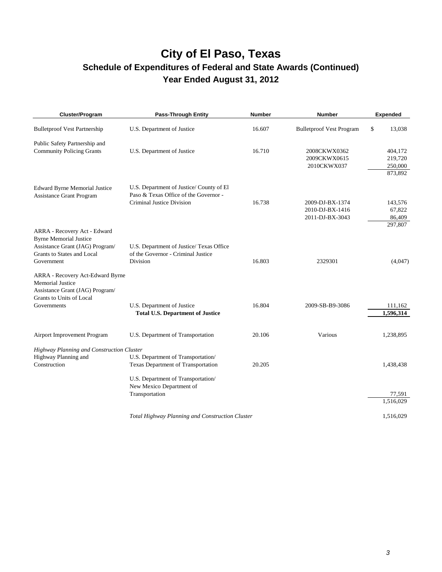## **City of El Paso, Texas Schedule of Expenditures of Federal and State Awards (Continued)**

**Year Ended August 31, 2012** 

| Cluster/Program                                                                                                                              | <b>Pass-Through Entity</b>                                                                 | <b>Number</b> | <b>Number</b>                   | <b>Expended</b>      |
|----------------------------------------------------------------------------------------------------------------------------------------------|--------------------------------------------------------------------------------------------|---------------|---------------------------------|----------------------|
| <b>Bulletproof Vest Partnership</b>                                                                                                          | U.S. Department of Justice                                                                 | 16.607        | <b>Bulletproof Vest Program</b> | \$<br>13,038         |
| Public Safety Partnership and                                                                                                                |                                                                                            |               |                                 |                      |
| <b>Community Policing Grants</b>                                                                                                             | U.S. Department of Justice                                                                 | 16.710        | 2008CKWX0362                    | 404,172              |
|                                                                                                                                              |                                                                                            |               | 2009CKWX0615                    | 219,720              |
|                                                                                                                                              |                                                                                            |               | 2010CKWX037                     | 250,000              |
|                                                                                                                                              |                                                                                            |               |                                 | 873,892              |
| <b>Edward Byrne Memorial Justice</b><br><b>Assistance Grant Program</b>                                                                      | U.S. Department of Justice/ County of El<br>Paso & Texas Office of the Governor -          |               |                                 |                      |
|                                                                                                                                              | Criminal Justice Division                                                                  | 16.738        | 2009-DJ-BX-1374                 | 143,576              |
|                                                                                                                                              |                                                                                            |               | 2010-DJ-BX-1416                 | 67,822               |
|                                                                                                                                              |                                                                                            |               | 2011-DJ-BX-3043                 | 86,409               |
|                                                                                                                                              |                                                                                            |               |                                 | 297,807              |
| ARRA - Recovery Act - Edward<br><b>Byrne Memorial Justice</b><br>Assistance Grant (JAG) Program/<br>Grants to States and Local<br>Government | U.S. Department of Justice/ Texas Office<br>of the Governor - Criminal Justice<br>Division | 16.803        | 2329301                         | (4,047)              |
| ARRA - Recovery Act-Edward Byrne<br><b>Memorial Justice</b><br>Assistance Grant (JAG) Program/<br>Grants to Units of Local                   |                                                                                            |               |                                 |                      |
| Governments                                                                                                                                  | U.S. Department of Justice<br><b>Total U.S. Department of Justice</b>                      | 16.804        | 2009-SB-B9-3086                 | 111,162<br>1,596,314 |
|                                                                                                                                              |                                                                                            |               |                                 |                      |
| Airport Improvement Program                                                                                                                  | U.S. Department of Transportation                                                          | 20.106        | Various                         | 1,238,895            |
| Highway Planning and Construction Cluster                                                                                                    |                                                                                            |               |                                 |                      |
| Highway Planning and                                                                                                                         | U.S. Department of Transportation/                                                         |               |                                 |                      |
| Construction                                                                                                                                 | Texas Department of Transportation                                                         | 20.205        |                                 | 1,438,438            |
|                                                                                                                                              | U.S. Department of Transportation/                                                         |               |                                 |                      |
|                                                                                                                                              | New Mexico Department of                                                                   |               |                                 |                      |
|                                                                                                                                              | Transportation                                                                             |               |                                 | 77,591<br>1,516,029  |
|                                                                                                                                              |                                                                                            |               |                                 |                      |
|                                                                                                                                              | Total Highway Planning and Construction Cluster                                            |               |                                 | 1,516,029            |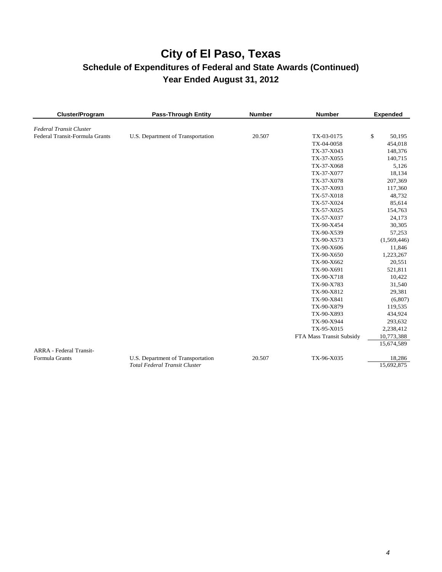| Cluster/Program                                  | <b>Pass-Through Entity</b>           | <b>Number</b> | <b>Number</b>            | <b>Expended</b>         |
|--------------------------------------------------|--------------------------------------|---------------|--------------------------|-------------------------|
| <b>Federal Transit Cluster</b>                   |                                      |               |                          |                         |
| Federal Transit-Formula Grants                   | U.S. Department of Transportation    | 20.507        | TX-03-0175               | \$<br>50,195            |
|                                                  |                                      |               | TX-04-0058               | 454,018                 |
|                                                  |                                      |               | TX-37-X043               | 148,376                 |
|                                                  |                                      |               | TX-37-X055               | 140,715                 |
|                                                  |                                      |               | TX-37-X068               | 5,126                   |
|                                                  |                                      |               | TX-37-X077               | 18,134                  |
|                                                  |                                      |               | TX-37-X078               | 207,369                 |
|                                                  |                                      |               | TX-37-X093               | 117,360                 |
|                                                  |                                      |               | TX-57-X018               | 48,732                  |
|                                                  |                                      |               | TX-57-X024               | 85,614                  |
|                                                  |                                      |               | TX-57-X025               | 154,763                 |
|                                                  |                                      |               | TX-57-X037               | 24,173                  |
|                                                  |                                      |               | TX-90-X454               | 30,305                  |
|                                                  |                                      |               | TX-90-X539               | 57,253                  |
|                                                  |                                      |               | TX-90-X573               | (1,569,446)             |
|                                                  |                                      |               | TX-90-X606               | 11,846                  |
|                                                  |                                      |               | TX-90-X650               | 1,223,267               |
|                                                  |                                      |               | TX-90-X662               | 20,551                  |
|                                                  |                                      |               | TX-90-X691               | 521,811                 |
|                                                  |                                      |               | TX-90-X718               | 10,422                  |
|                                                  |                                      |               | TX-90-X783               | 31,540                  |
|                                                  |                                      |               | TX-90-X812               | 29,381                  |
|                                                  |                                      |               | TX-90-X841               | (6, 807)                |
|                                                  |                                      |               | TX-90-X879               | 119,535                 |
|                                                  |                                      |               | TX-90-X893               | 434,924                 |
|                                                  |                                      |               | TX-90-X944               | 293,632                 |
|                                                  |                                      |               | TX-95-X015               | 2,238,412               |
|                                                  |                                      |               | FTA Mass Transit Subsidy | 10,773,388              |
|                                                  |                                      |               |                          | 15,674,589              |
| <b>ARRA</b> - Federal Transit-<br>Formula Grants | U.S. Department of Transportation    | 20.507        | TX-96-X035               | 18,286                  |
|                                                  | <b>Total Federal Transit Cluster</b> |               |                          | $\overline{15,692,875}$ |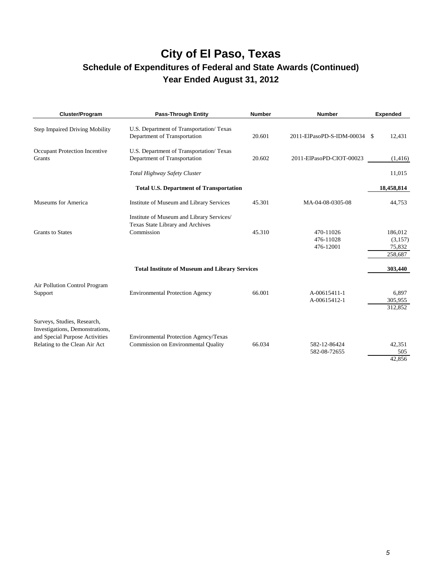### **City of El Paso, Texas Schedule of Expenditures of Federal and State Awards (Continued)**

## **Year Ended August 31, 2012**

| Cluster/Program                                                                                                                   | <b>Pass-Through Entity</b>                                                                  | <b>Number</b> | <b>Number</b>                       | <b>Expended</b>                         |
|-----------------------------------------------------------------------------------------------------------------------------------|---------------------------------------------------------------------------------------------|---------------|-------------------------------------|-----------------------------------------|
| <b>Step Impaired Driving Mobility</b>                                                                                             | U.S. Department of Transportation/ Texas<br>Department of Transportation                    | 20.601        | 2011-ElPasoPD-S-IDM-00034           | 12,431<br>-S                            |
| Occupant Protection Incentive<br>Grants                                                                                           | U.S. Department of Transportation/ Texas<br>Department of Transportation                    | 20.602        | 2011-ElPasoPD-CIOT-00023            | (1, 416)                                |
|                                                                                                                                   | Total Highway Safety Cluster                                                                |               |                                     | 11,015                                  |
|                                                                                                                                   | <b>Total U.S. Department of Transportation</b>                                              |               |                                     | 18,458,814                              |
| Museums for America                                                                                                               | Institute of Museum and Library Services                                                    | 45.301        | MA-04-08-0305-08                    | 44,753                                  |
| <b>Grants</b> to States                                                                                                           | Institute of Museum and Library Services/<br>Texas State Library and Archives<br>Commission | 45.310        | 470-11026<br>476-11028<br>476-12001 | 186,012<br>(3,157)<br>75,832<br>258,687 |
|                                                                                                                                   | <b>Total Institute of Museum and Library Services</b>                                       |               |                                     | 303,440                                 |
| Air Pollution Control Program<br>Support                                                                                          | <b>Environmental Protection Agency</b>                                                      | 66.001        | A-00615411-1<br>A-00615412-1        | 6,897<br>305,955<br>312,852             |
| Surveys, Studies, Research,<br>Investigations, Demonstrations,<br>and Special Purpose Activities<br>Relating to the Clean Air Act | Environmental Protection Agency/Texas<br>Commission on Environmental Quality                | 66.034        | 582-12-86424<br>582-08-72655        | 42,351<br>505<br>42,856                 |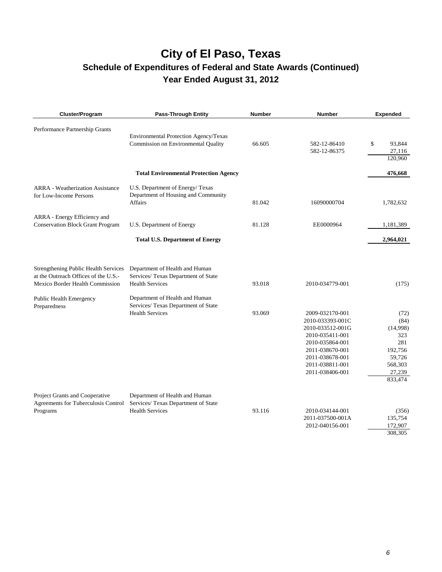| Cluster/Program                                                         | <b>Pass-Through Entity</b>                                    | <b>Number</b> | <b>Number</b>                       | <b>Expended</b>   |
|-------------------------------------------------------------------------|---------------------------------------------------------------|---------------|-------------------------------------|-------------------|
| Performance Partnership Grants                                          | Environmental Protection Agency/Texas                         |               |                                     |                   |
|                                                                         | Commission on Environmental Quality                           | 66.605        | 582-12-86410                        | 93,844<br>\$      |
|                                                                         |                                                               |               | 582-12-86375                        | 27,116<br>120,960 |
|                                                                         |                                                               |               |                                     |                   |
|                                                                         | <b>Total Environmental Protection Agency</b>                  |               |                                     | 476,668           |
| <b>ARRA</b> - Weatherization Assistance                                 | U.S. Department of Energy/Texas                               |               |                                     |                   |
| for Low-Income Persons                                                  | Department of Housing and Community                           |               |                                     |                   |
|                                                                         | Affairs                                                       | 81.042        | 16090000704                         | 1,782,632         |
| ARRA - Energy Efficiency and                                            |                                                               |               |                                     |                   |
| <b>Conservation Block Grant Program</b>                                 | U.S. Department of Energy                                     | 81.128        | EE0000964                           | 1,181,389         |
|                                                                         | <b>Total U.S. Department of Energy</b>                        |               |                                     | 2,964,021         |
| <b>Strengthening Public Health Services</b>                             | Department of Health and Human                                |               |                                     |                   |
| at the Outreach Offices of the U.S.-<br>Mexico Border Health Commission | Services/ Texas Department of State<br><b>Health Services</b> | 93.018        | 2010-034779-001                     | (175)             |
|                                                                         |                                                               |               |                                     |                   |
| Public Health Emergency                                                 | Department of Health and Human                                |               |                                     |                   |
| Preparedness                                                            | Services/ Texas Department of State                           |               |                                     |                   |
|                                                                         | <b>Health Services</b>                                        | 93.069        | 2009-032170-001                     | (72)              |
|                                                                         |                                                               |               | 2010-033393-001C                    | (84)              |
|                                                                         |                                                               |               | 2010-033512-001G<br>2010-035411-001 | (14,998)<br>323   |
|                                                                         |                                                               |               | 2010-035864-001                     | 281               |
|                                                                         |                                                               |               | 2011-038670-001                     | 192,756           |
|                                                                         |                                                               |               | 2011-038678-001                     | 59,726            |
|                                                                         |                                                               |               | 2011-038811-001                     | 568,303           |
|                                                                         |                                                               |               | 2011-038406-001                     | 27,239            |
|                                                                         |                                                               |               |                                     | 833,474           |
| Project Grants and Cooperative                                          | Department of Health and Human                                |               |                                     |                   |
| Agreements for Tuberculosis Control                                     | Services/ Texas Department of State                           |               |                                     |                   |
| Programs                                                                | <b>Health Services</b>                                        | 93.116        | 2010-034144-001                     | (356)             |
|                                                                         |                                                               |               | 2011-037500-001A                    | 135,754           |
|                                                                         |                                                               |               | 2012-040156-001                     | 172,907           |
|                                                                         |                                                               |               |                                     | 308,305           |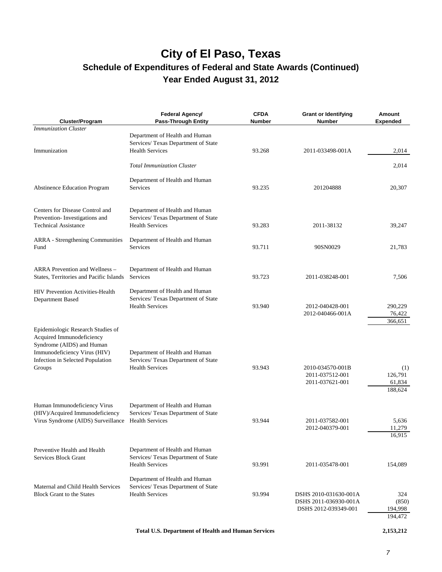| Cluster/Program                                                                                                                                                           | Federal Agency/<br><b>Pass-Through Entity</b>                                                   | <b>CFDA</b><br><b>Number</b> | <b>Grant or Identifying</b><br><b>Number</b>                           | Amount<br><b>Expended</b>           |
|---------------------------------------------------------------------------------------------------------------------------------------------------------------------------|-------------------------------------------------------------------------------------------------|------------------------------|------------------------------------------------------------------------|-------------------------------------|
| <b>Immunization Cluster</b>                                                                                                                                               |                                                                                                 |                              |                                                                        |                                     |
| Immunization                                                                                                                                                              | Department of Health and Human<br>Services/ Texas Department of State<br><b>Health Services</b> | 93.268                       | 2011-033498-001A                                                       | 2,014                               |
|                                                                                                                                                                           | <b>Total Immunization Cluster</b>                                                               |                              |                                                                        | 2,014                               |
| <b>Abstinence Education Program</b>                                                                                                                                       | Department of Health and Human<br><b>Services</b>                                               | 93.235                       | 201204888                                                              | 20,307                              |
| Centers for Disease Control and<br>Prevention-Investigations and<br><b>Technical Assistance</b>                                                                           | Department of Health and Human<br>Services/ Texas Department of State<br><b>Health Services</b> | 93.283                       | 2011-38132                                                             | 39,247                              |
| ARRA - Strengthening Communities<br>Fund                                                                                                                                  | Department of Health and Human<br>Services                                                      | 93.711                       | 90SN0029                                                               | 21,783                              |
| ARRA Prevention and Wellness -<br>States, Territories and Pacific Islands                                                                                                 | Department of Health and Human<br>Services                                                      | 93.723                       | 2011-038248-001                                                        | 7,506                               |
| <b>HIV Prevention Activities-Health</b><br>Department Based                                                                                                               | Department of Health and Human<br>Services/ Texas Department of State<br><b>Health Services</b> | 93.940                       | 2012-040428-001<br>2012-040466-001A                                    | 290,229<br>76,422<br>366,651        |
| Epidemiologic Research Studies of<br>Acquired Immunodeficiency<br>Syndrome (AIDS) and Human<br>Immunodeficiency Virus (HIV)<br>Infection in Selected Population<br>Groups | Department of Health and Human<br>Services/ Texas Department of State<br><b>Health Services</b> | 93.943                       | 2010-034570-001B<br>2011-037512-001<br>2011-037621-001                 | (1)<br>126,791<br>61,834<br>188,624 |
| Human Immunodeficiency Virus<br>(HIV)/Acquired Immunodeficiency<br>Virus Syndrome (AIDS) Surveillance                                                                     | Department of Health and Human<br>Services/ Texas Department of State<br><b>Health Services</b> | 93.944                       | 2011-037582-001<br>2012-040379-001                                     | 5,636<br>11,279<br>16,915           |
| Preventive Health and Health<br>Services Block Grant                                                                                                                      | Department of Health and Human<br>Services/ Texas Department of State<br><b>Health Services</b> | 93.991                       | 2011-035478-001                                                        | 154,089                             |
| Maternal and Child Health Services<br><b>Block Grant to the States</b>                                                                                                    | Department of Health and Human<br>Services/ Texas Department of State<br><b>Health Services</b> | 93.994                       | DSHS 2010-031630-001A<br>DSHS 2011-036930-001A<br>DSHS 2012-039349-001 | 324<br>(850)<br>194,998<br>194,472  |

 **Total U.S. Department of Health and Human Services 2,153,212**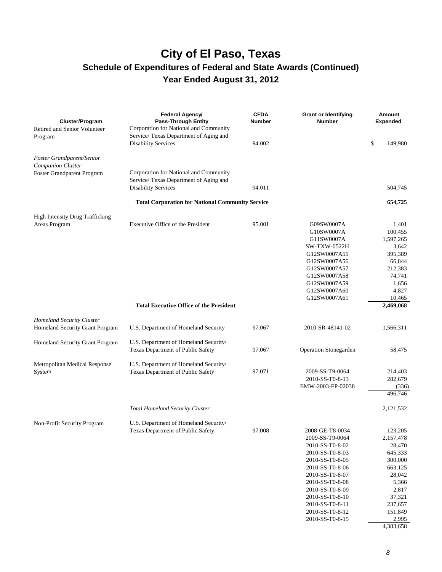## **City of El Paso, Texas Schedule of Expenditures of Federal and State Awards (Continued)**

**Year Ended August 31, 2012** 

| Cluster/Program                        | Federal Agency/<br><b>Pass-Through Entity</b>           | <b>CFDA</b><br><b>Number</b> | <b>Grant or Identifying</b><br><b>Number</b> | Amount<br><b>Expended</b> |
|----------------------------------------|---------------------------------------------------------|------------------------------|----------------------------------------------|---------------------------|
| Retired and Senior Volunteer           | Corporation for National and Community                  |                              |                                              |                           |
| Program                                | Service/ Texas Department of Aging and                  |                              |                                              |                           |
|                                        | <b>Disability Services</b>                              | 94.002                       |                                              | \$<br>149,980             |
| Foster Grandparent/Senior              |                                                         |                              |                                              |                           |
| Companion Cluster                      |                                                         |                              |                                              |                           |
| Foster Grandparent Program             | Corporation for National and Community                  |                              |                                              |                           |
|                                        | Service/ Texas Department of Aging and                  |                              |                                              |                           |
|                                        | <b>Disability Services</b>                              | 94.011                       |                                              | 504,745                   |
|                                        | <b>Total Corporation for National Community Service</b> |                              |                                              | 654,725                   |
| <b>High Intensity Drug Trafficking</b> |                                                         |                              |                                              |                           |
| Areas Program                          | Executive Office of the President                       | 95.001                       | G09SW0007A                                   | 1,401                     |
|                                        |                                                         |                              | G10SW0007A                                   | 100,455                   |
|                                        |                                                         |                              | G11SW0007A                                   | 1,597,265                 |
|                                        |                                                         |                              | <b>SW-TXW-0522H</b>                          | 3,642                     |
|                                        |                                                         |                              | G12SW0007A55                                 | 395,389                   |
|                                        |                                                         |                              | G12SW0007A56                                 | 66,844                    |
|                                        |                                                         |                              | G12SW0007A57                                 | 212,383                   |
|                                        |                                                         |                              | G12SW0007A58                                 | 74,741                    |
|                                        |                                                         |                              | G12SW0007A59                                 | 1,656                     |
|                                        |                                                         |                              | G12SW0007A60                                 | 4,827                     |
|                                        |                                                         |                              | G12SW0007A61                                 | 10,465                    |
|                                        | <b>Total Executive Office of the President</b>          |                              |                                              | 2,469,068                 |
| Homeland Security Cluster              |                                                         |                              |                                              |                           |
| Homeland Security Grant Program        | U.S. Department of Homeland Security                    | 97.067                       | 2010-SR-48141-02                             | 1,566,311                 |
| Homeland Security Grant Program        | U.S. Department of Homeland Security/                   |                              |                                              |                           |
|                                        | Texas Department of Public Safety                       | 97.067                       | Operation Stonegarden                        | 58,475                    |
| Metropolitan Medical Response          | U.S. Department of Homeland Security/                   |                              |                                              |                           |
| System                                 | Texas Department of Public Safety                       | 97.071                       | 2009-SS-T9-0064                              | 214,403                   |
|                                        |                                                         |                              | 2010-SS-T0-8-13                              | 282,679                   |
|                                        |                                                         |                              | EMW-2003-FP-02038                            | (336)                     |
|                                        |                                                         |                              |                                              | 496,746                   |
|                                        |                                                         |                              |                                              |                           |
|                                        | <b>Total Homeland Security Cluster</b>                  |                              |                                              | 2,121,532                 |
| Non-Profit Security Program            | U.S. Department of Homeland Security/                   |                              |                                              |                           |
|                                        | Texas Department of Public Safety                       | 97.008                       | 2008-GE-T8-0034                              | 123,205                   |
|                                        |                                                         |                              | 2009-SS-T9-0064                              | 2,157,478                 |
|                                        |                                                         |                              | 2010-SS-T0-8-02                              | 28,470                    |
|                                        |                                                         |                              | 2010-SS-T0-8-03                              | 645,333                   |
|                                        |                                                         |                              | 2010-SS-T0-8-05                              | 300,000                   |
|                                        |                                                         |                              | 2010-SS-T0-8-06                              | 663,125                   |
|                                        |                                                         |                              | 2010-SS-T0-8-07                              | 28,042                    |
|                                        |                                                         |                              | 2010-SS-T0-8-08                              | 5,366                     |
|                                        |                                                         |                              | 2010-SS-T0-8-09                              | 2,817                     |
|                                        |                                                         |                              | 2010-SS-T0-8-10                              | 37,321                    |
|                                        |                                                         |                              | 2010-SS-T0-8-11                              | 237,657                   |
|                                        |                                                         |                              | 2010-SS-T0-8-12                              | 151,849                   |
|                                        |                                                         |                              | 2010-SS-T0-8-15                              | 2,995                     |

4,383,658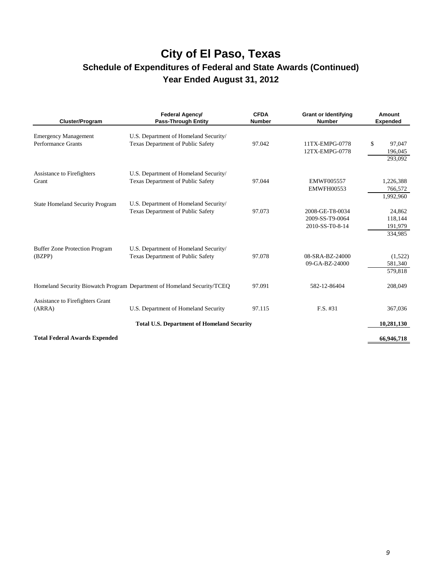| Cluster/Program                                   | Federal Agency/<br><b>Pass-Through Entity</b>                                     | <b>CFDA</b><br><b>Number</b> | <b>Grant or Identifying</b><br><b>Number</b>          | Amount<br><b>Expended</b>               |
|---------------------------------------------------|-----------------------------------------------------------------------------------|------------------------------|-------------------------------------------------------|-----------------------------------------|
| <b>Emergency Management</b><br>Performance Grants | U.S. Department of Homeland Security/<br>Texas Department of Public Safety        | 97.042                       | 11TX-EMPG-0778<br>12TX-EMPG-0778                      | \$<br>97,047<br>196,045<br>293,092      |
| Assistance to Firefighters<br>Grant               | U.S. Department of Homeland Security/<br>Texas Department of Public Safety        | 97.044                       | EMWF005557<br><b>EMWFH00553</b>                       | 1,226,388<br>766,572<br>1,992,960       |
| <b>State Homeland Security Program</b>            | U.S. Department of Homeland Security/<br>Texas Department of Public Safety        | 97.073                       | 2008-GE-T8-0034<br>2009-SS-T9-0064<br>2010-SS-T0-8-14 | 24,862<br>118,144<br>191,979<br>334,985 |
| <b>Buffer Zone Protection Program</b><br>(BZPP)   | U.S. Department of Homeland Security/<br><b>Texas Department of Public Safety</b> | 97.078                       | 08-SRA-BZ-24000<br>09-GA-BZ-24000                     | (1,522)<br>581,340<br>579,818           |
|                                                   | Homeland Security Biowatch Program Department of Homeland Security/TCEQ           | 97.091                       | 582-12-86404                                          | 208,049                                 |
| Assistance to Firefighters Grant<br>(ARRA)        | U.S. Department of Homeland Security                                              | 97.115                       | F.S. #31                                              | 367,036                                 |
|                                                   | <b>Total U.S. Department of Homeland Security</b>                                 |                              |                                                       | 10,281,130                              |
| <b>Total Federal Awards Expended</b>              |                                                                                   |                              |                                                       | 66,946,718                              |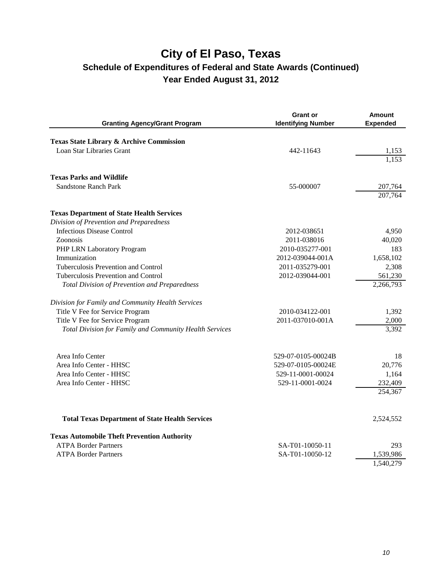| <b>Granting Agency/Grant Program</b>                    | <b>Grant or</b><br><b>Identifying Number</b> | <b>Amount</b><br><b>Expended</b> |
|---------------------------------------------------------|----------------------------------------------|----------------------------------|
| Texas State Library & Archive Commission                |                                              |                                  |
| <b>Loan Star Libraries Grant</b>                        | 442-11643                                    | 1.153                            |
|                                                         |                                              | 1,153                            |
| <b>Texas Parks and Wildlife</b>                         |                                              |                                  |
| <b>Sandstone Ranch Park</b>                             | 55-000007                                    | 207,764                          |
|                                                         |                                              | 207,764                          |
| <b>Texas Department of State Health Services</b>        |                                              |                                  |
| Division of Prevention and Preparedness                 |                                              |                                  |
| <b>Infectious Disease Control</b>                       | 2012-038651                                  | 4,950                            |
| Zoonosis                                                | 2011-038016                                  | 40,020                           |
| PHP LRN Laboratory Program                              | 2010-035277-001                              | 183                              |
| Immunization                                            | 2012-039044-001A                             | 1,658,102                        |
| Tuberculosis Prevention and Control                     | 2011-035279-001                              | 2,308                            |
| Tuberculosis Prevention and Control                     | 2012-039044-001                              | 561,230                          |
| <b>Total Division of Prevention and Preparedness</b>    |                                              | 2,266,793                        |
| Division for Family and Community Health Services       |                                              |                                  |
| Title V Fee for Service Program                         | 2010-034122-001                              | 1,392                            |
| Title V Fee for Service Program                         | 2011-037010-001A                             | 2,000                            |
| Total Division for Family and Community Health Services |                                              | 3,392                            |
| Area Info Center                                        | 529-07-0105-00024B                           | 18                               |
| Area Info Center - HHSC                                 | 529-07-0105-00024E                           | 20,776                           |
| Area Info Center - HHSC                                 | 529-11-0001-00024                            | 1,164                            |
| Area Info Center - HHSC                                 | 529-11-0001-0024                             | 232,409                          |
|                                                         |                                              | 254,367                          |
| <b>Total Texas Department of State Health Services</b>  |                                              | 2,524,552                        |
|                                                         |                                              |                                  |
| <b>Texas Automobile Theft Prevention Authority</b>      |                                              |                                  |
| <b>ATPA Border Partners</b>                             | SA-T01-10050-11                              | 293                              |
| <b>ATPA Border Partners</b>                             | SA-T01-10050-12                              | 1,539,986                        |
|                                                         |                                              | 1,540,279                        |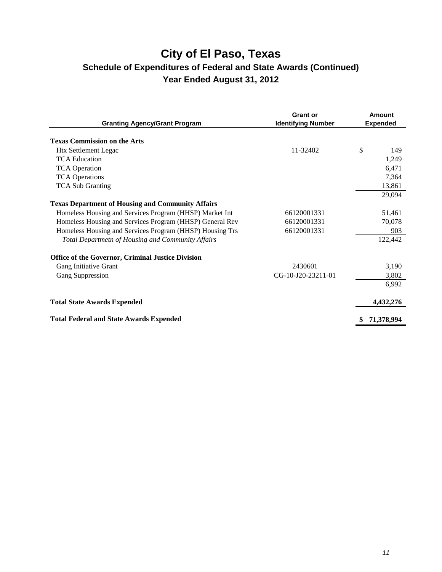| <b>Granting Agency/Grant Program</b>                     | <b>Grant or</b><br><b>Identifying Number</b> | Amount<br><b>Expended</b> |
|----------------------------------------------------------|----------------------------------------------|---------------------------|
| <b>Texas Commission on the Arts</b>                      |                                              |                           |
|                                                          | 11-32402                                     | \$<br>149                 |
| <b>Htx Settlement Legac</b>                              |                                              |                           |
| <b>TCA Education</b>                                     |                                              | 1,249                     |
| <b>TCA Operation</b>                                     |                                              | 6,471                     |
| <b>TCA Operations</b>                                    |                                              | 7,364                     |
| <b>TCA Sub Granting</b>                                  |                                              | 13,861                    |
|                                                          |                                              | 29,094                    |
| <b>Texas Department of Housing and Community Affairs</b> |                                              |                           |
| Homeless Housing and Services Program (HHSP) Market Int  | 66120001331                                  | 51,461                    |
| Homeless Housing and Services Program (HHSP) General Rev | 66120001331                                  | 70,078                    |
| Homeless Housing and Services Program (HHSP) Housing Trs | 66120001331                                  | 903                       |
| Total Departmetn of Housing and Community Affairs        |                                              | 122,442                   |
| Office of the Governor, Criminal Justice Division        |                                              |                           |
| Gang Initiative Grant                                    | 2430601                                      | 3,190                     |
| Gang Suppression                                         | CG-10-J20-23211-01                           | 3,802                     |
|                                                          |                                              | 6,992                     |
| <b>Total State Awards Expended</b>                       |                                              | 4,432,276                 |
| <b>Total Federal and State Awards Expended</b>           |                                              | 71,378,994                |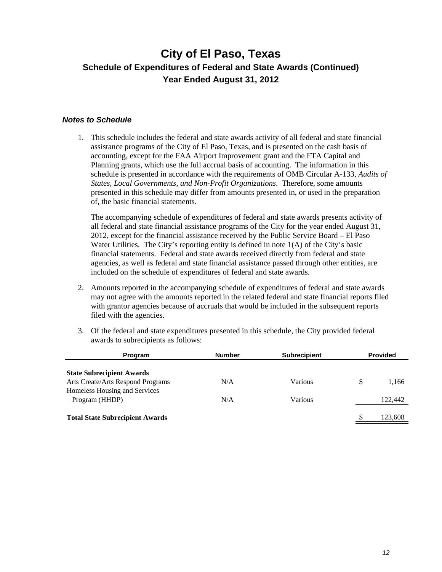#### *Notes to Schedule*

1. This schedule includes the federal and state awards activity of all federal and state financial assistance programs of the City of El Paso, Texas, and is presented on the cash basis of accounting, except for the FAA Airport Improvement grant and the FTA Capital and Planning grants, which use the full accrual basis of accounting. The information in this schedule is presented in accordance with the requirements of OMB Circular A-133, *Audits of States, Local Governments, and Non-Profit Organizations*. Therefore, some amounts presented in this schedule may differ from amounts presented in, or used in the preparation of, the basic financial statements.

The accompanying schedule of expenditures of federal and state awards presents activity of all federal and state financial assistance programs of the City for the year ended August 31, 2012, except for the financial assistance received by the Public Service Board – El Paso Water Utilities. The City's reporting entity is defined in note  $1(A)$  of the City's basic financial statements. Federal and state awards received directly from federal and state agencies, as well as federal and state financial assistance passed through other entities, are included on the schedule of expenditures of federal and state awards.

- 2. Amounts reported in the accompanying schedule of expenditures of federal and state awards may not agree with the amounts reported in the related federal and state financial reports filed with grantor agencies because of accruals that would be included in the subsequent reports filed with the agencies.
- 3. Of the federal and state expenditures presented in this schedule, the City provided federal awards to subrecipients as follows:

| Program                                                               | <b>Number</b> | <b>Subrecipient</b> |    | <b>Provided</b> |
|-----------------------------------------------------------------------|---------------|---------------------|----|-----------------|
| <b>State Subrecipient Awards</b><br>Arts Create/Arts Respond Programs | N/A           | Various             | \$ | 1,166           |
| Homeless Housing and Services<br>Program (HHDP)                       | N/A           | Various             |    | 122,442         |
| <b>Total State Subrecipient Awards</b>                                |               |                     | -S | 123,608         |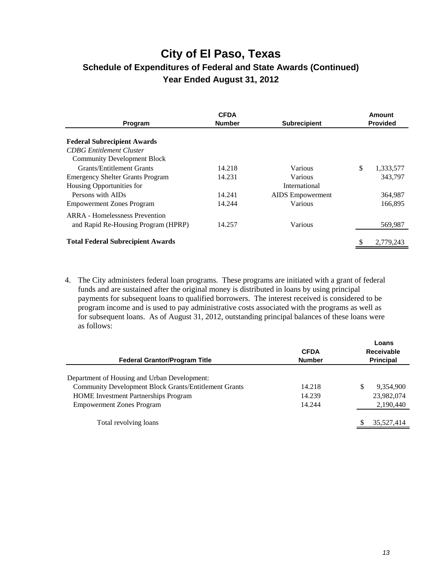| Program                                  | <b>CFDA</b><br><b>Number</b> | <b>Subrecipient</b>     | Amount<br><b>Provided</b> |
|------------------------------------------|------------------------------|-------------------------|---------------------------|
| <b>Federal Subrecipient Awards</b>       |                              |                         |                           |
| <b>CDBG</b> Entitlement Cluster          |                              |                         |                           |
| <b>Community Development Block</b>       |                              |                         |                           |
| <b>Grants/Entitlement Grants</b>         | 14.218                       | Various                 | \$<br>1,333,577           |
| <b>Emergency Shelter Grants Program</b>  | 14.231                       | Various                 | 343.797                   |
| Housing Opportunities for                |                              | International           |                           |
| Persons with AIDs                        | 14.241                       | <b>AIDS</b> Empowerment | 364,987                   |
| <b>Empowerment Zones Program</b>         | 14.244                       | Various                 | 166.895                   |
| ARRA - Homelessness Prevention           |                              |                         |                           |
| and Rapid Re-Housing Program (HPRP)      | 14.257                       | Various                 | 569,987                   |
| <b>Total Federal Subrecipient Awards</b> |                              |                         | 2,779,243                 |
|                                          |                              |                         |                           |

4. The City administers federal loan programs. These programs are initiated with a grant of federal funds and are sustained after the original money is distributed in loans by using principal payments for subsequent loans to qualified borrowers. The interest received is considered to be program income and is used to pay administrative costs associated with the programs as well as for subsequent loans. As of August 31, 2012, outstanding principal balances of these loans were as follows:

| <b>Federal Grantor/Program Title</b>                         | <b>CFDA</b><br><b>Number</b> | Loans<br><b>Receivable</b><br><b>Principal</b> |
|--------------------------------------------------------------|------------------------------|------------------------------------------------|
| Department of Housing and Urban Development:                 |                              |                                                |
| <b>Community Development Block Grants/Entitlement Grants</b> | 14.218                       | S<br>9.354.900                                 |
| <b>HOME</b> Investment Partnerships Program                  | 14.239                       | 23,982,074                                     |
| <b>Empowerment Zones Program</b>                             | 14.244                       | 2,190,440                                      |
|                                                              |                              |                                                |
| Total revolving loans                                        |                              | 35,527,414                                     |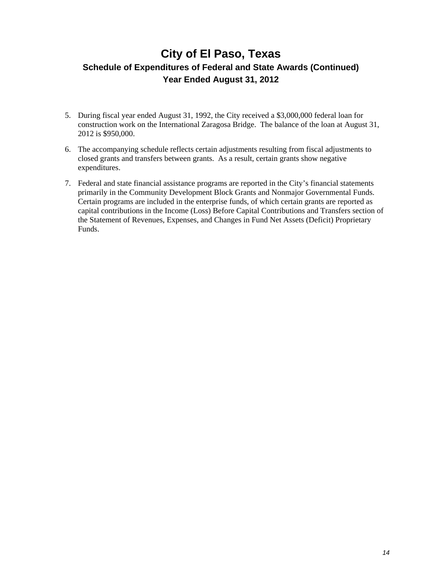### **City of El Paso, Texas**

### **Schedule of Expenditures of Federal and State Awards (Continued) Year Ended August 31, 2012**

- 5. During fiscal year ended August 31, 1992, the City received a \$3,000,000 federal loan for construction work on the International Zaragosa Bridge. The balance of the loan at August 31, 2012 is \$950,000.
- 6. The accompanying schedule reflects certain adjustments resulting from fiscal adjustments to closed grants and transfers between grants. As a result, certain grants show negative expenditures.
- 7. Federal and state financial assistance programs are reported in the City's financial statements primarily in the Community Development Block Grants and Nonmajor Governmental Funds. Certain programs are included in the enterprise funds, of which certain grants are reported as capital contributions in the Income (Loss) Before Capital Contributions and Transfers section of the Statement of Revenues, Expenses, and Changes in Fund Net Assets (Deficit) Proprietary Funds.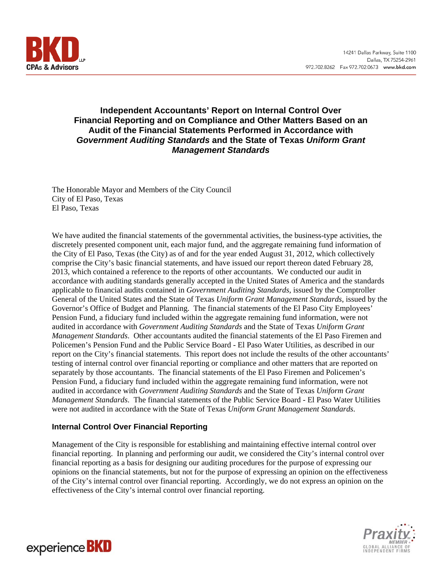

#### **Independent Accountants' Report on Internal Control Over Financial Reporting and on Compliance and Other Matters Based on an Audit of the Financial Statements Performed in Accordance with**  *Government Auditing Standards* **and the State of Texas** *Uniform Grant Management Standards*

The Honorable Mayor and Members of the City Council City of El Paso, Texas El Paso, Texas

We have audited the financial statements of the governmental activities, the business-type activities, the discretely presented component unit, each major fund, and the aggregate remaining fund information of the City of El Paso, Texas (the City) as of and for the year ended August 31, 2012, which collectively comprise the City's basic financial statements, and have issued our report thereon dated February 28, 2013, which contained a reference to the reports of other accountants. We conducted our audit in accordance with auditing standards generally accepted in the United States of America and the standards applicable to financial audits contained in *Government Auditing Standards*, issued by the Comptroller General of the United States and the State of Texas *Uniform Grant Management Standards*, issued by the Governor's Office of Budget and Planning. The financial statements of the El Paso City Employees' Pension Fund, a fiduciary fund included within the aggregate remaining fund information, were not audited in accordance with *Government Auditing Standards* and the State of Texas *Uniform Grant Management Standards*. Other accountants audited the financial statements of the El Paso Firemen and Policemen's Pension Fund and the Public Service Board - El Paso Water Utilities, as described in our report on the City's financial statements. This report does not include the results of the other accountants' testing of internal control over financial reporting or compliance and other matters that are reported on separately by those accountants. The financial statements of the El Paso Firemen and Policemen's Pension Fund, a fiduciary fund included within the aggregate remaining fund information, were not audited in accordance with *Government Auditing Standards* and the State of Texas *Uniform Grant Management Standards*. The financial statements of the Public Service Board - El Paso Water Utilities were not audited in accordance with the State of Texas *Uniform Grant Management Standards*.

#### **Internal Control Over Financial Reporting**

Management of the City is responsible for establishing and maintaining effective internal control over financial reporting. In planning and performing our audit, we considered the City's internal control over financial reporting as a basis for designing our auditing procedures for the purpose of expressing our opinions on the financial statements, but not for the purpose of expressing an opinion on the effectiveness of the City's internal control over financial reporting. Accordingly, we do not express an opinion on the effectiveness of the City's internal control over financial reporting.



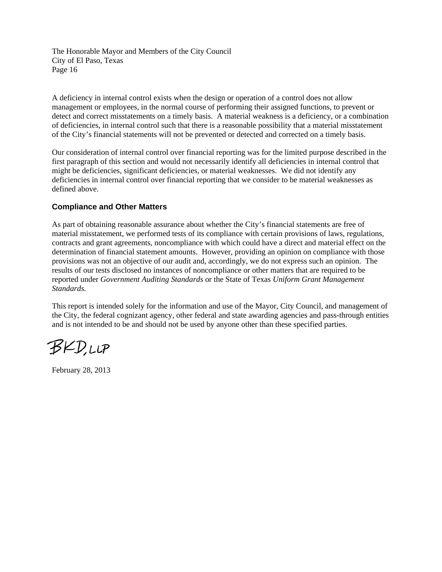The Honorable Mayor and Members of the City Council City of El Paso, Texas Page 16

A deficiency in internal control exists when the design or operation of a control does not allow management or employees, in the normal course of performing their assigned functions, to prevent or detect and correct misstatements on a timely basis. A material weakness is a deficiency, or a combination of deficiencies, in internal control such that there is a reasonable possibility that a material misstatement of the City's financial statements will not be prevented or detected and corrected on a timely basis.

Our consideration of internal control over financial reporting was for the limited purpose described in the first paragraph of this section and would not necessarily identify all deficiencies in internal control that might be deficiencies, significant deficiencies, or material weaknesses. We did not identify any deficiencies in internal control over financial reporting that we consider to be material weaknesses as defined above.

#### **Compliance and Other Matters**

As part of obtaining reasonable assurance about whether the City's financial statements are free of material misstatement, we performed tests of its compliance with certain provisions of laws, regulations, contracts and grant agreements, noncompliance with which could have a direct and material effect on the determination of financial statement amounts. However, providing an opinion on compliance with those provisions was not an objective of our audit and, accordingly, we do not express such an opinion. The results of our tests disclosed no instances of noncompliance or other matters that are required to be reported under *Government Auditing Standards* or the State of Texas *Uniform Grant Management Standards.*

This report is intended solely for the information and use of the Mayor, City Council, and management of the City, the federal cognizant agency, other federal and state awarding agencies and pass-through entities and is not intended to be and should not be used by anyone other than these specified parties.

BKDUP

February 28, 2013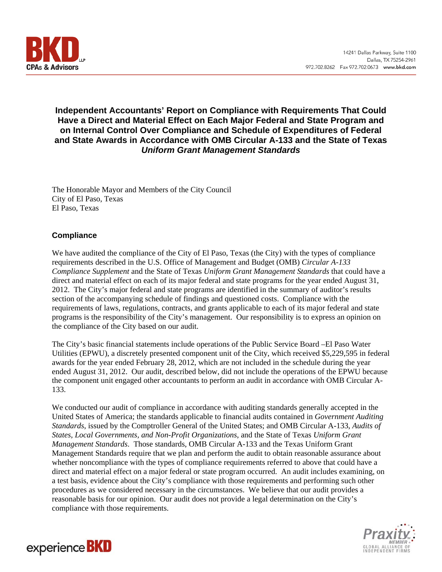

#### **Independent Accountants' Report on Compliance with Requirements That Could Have a Direct and Material Effect on Each Major Federal and State Program and on Internal Control Over Compliance and Schedule of Expenditures of Federal and State Awards in Accordance with OMB Circular A-133 and the State of Texas**  *Uniform Grant Management Standards*

The Honorable Mayor and Members of the City Council City of El Paso, Texas El Paso, Texas

#### **Compliance**

We have audited the compliance of the City of El Paso, Texas (the City) with the types of compliance requirements described in the U.S. Office of Management and Budget (OMB) *Circular A-133 Compliance Supplement* and the State of Texas *Uniform Grant Management Standards* that could have a direct and material effect on each of its major federal and state programs for the year ended August 31, 2012. The City's major federal and state programs are identified in the summary of auditor's results section of the accompanying schedule of findings and questioned costs. Compliance with the requirements of laws, regulations, contracts, and grants applicable to each of its major federal and state programs is the responsibility of the City's management. Our responsibility is to express an opinion on the compliance of the City based on our audit.

The City's basic financial statements include operations of the Public Service Board –El Paso Water Utilities (EPWU), a discretely presented component unit of the City, which received \$5,229,595 in federal awards for the year ended February 28, 2012, which are not included in the schedule during the year ended August 31, 2012. Our audit, described below, did not include the operations of the EPWU because the component unit engaged other accountants to perform an audit in accordance with OMB Circular A-133.

We conducted our audit of compliance in accordance with auditing standards generally accepted in the United States of America; the standards applicable to financial audits contained in *Government Auditing Standards*, issued by the Comptroller General of the United States; and OMB Circular A-133, *Audits of States, Local Governments, and Non-Profit Organizations*, and the State of Texas *Uniform Grant Management Standards*. Those standards, OMB Circular A-133 and the Texas Uniform Grant Management Standards require that we plan and perform the audit to obtain reasonable assurance about whether noncompliance with the types of compliance requirements referred to above that could have a direct and material effect on a major federal or state program occurred. An audit includes examining, on a test basis, evidence about the City's compliance with those requirements and performing such other procedures as we considered necessary in the circumstances. We believe that our audit provides a reasonable basis for our opinion. Our audit does not provide a legal determination on the City's compliance with those requirements.



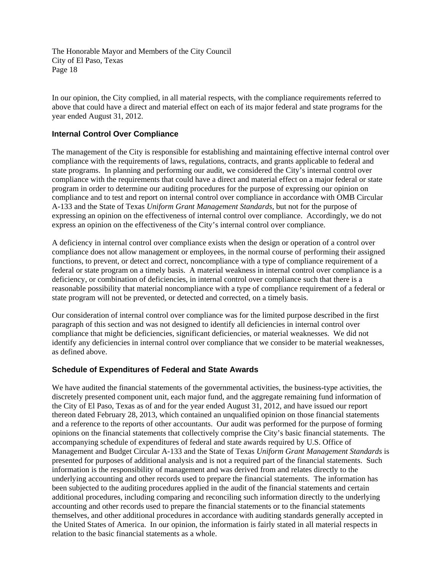The Honorable Mayor and Members of the City Council City of El Paso, Texas Page 18

In our opinion, the City complied, in all material respects, with the compliance requirements referred to above that could have a direct and material effect on each of its major federal and state programs for the year ended August 31, 2012.

#### **Internal Control Over Compliance**

The management of the City is responsible for establishing and maintaining effective internal control over compliance with the requirements of laws, regulations, contracts, and grants applicable to federal and state programs. In planning and performing our audit, we considered the City's internal control over compliance with the requirements that could have a direct and material effect on a major federal or state program in order to determine our auditing procedures for the purpose of expressing our opinion on compliance and to test and report on internal control over compliance in accordance with OMB Circular A-133 and the State of Texas *Uniform Grant Management Standards*, but not for the purpose of expressing an opinion on the effectiveness of internal control over compliance. Accordingly, we do not express an opinion on the effectiveness of the City's internal control over compliance.

A deficiency in internal control over compliance exists when the design or operation of a control over compliance does not allow management or employees, in the normal course of performing their assigned functions, to prevent, or detect and correct, noncompliance with a type of compliance requirement of a federal or state program on a timely basis. A material weakness in internal control over compliance is a deficiency, or combination of deficiencies, in internal control over compliance such that there is a reasonable possibility that material noncompliance with a type of compliance requirement of a federal or state program will not be prevented, or detected and corrected, on a timely basis.

Our consideration of internal control over compliance was for the limited purpose described in the first paragraph of this section and was not designed to identify all deficiencies in internal control over compliance that might be deficiencies, significant deficiencies, or material weaknesses. We did not identify any deficiencies in internal control over compliance that we consider to be material weaknesses, as defined above.

#### **Schedule of Expenditures of Federal and State Awards**

We have audited the financial statements of the governmental activities, the business-type activities, the discretely presented component unit, each major fund, and the aggregate remaining fund information of the City of El Paso, Texas as of and for the year ended August 31, 2012, and have issued our report thereon dated February 28, 2013, which contained an unqualified opinion on those financial statements and a reference to the reports of other accountants. Our audit was performed for the purpose of forming opinions on the financial statements that collectively comprise the City's basic financial statements. The accompanying schedule of expenditures of federal and state awards required by U.S. Office of Management and Budget Circular A-133 and the State of Texas *Uniform Grant Management Standards* is presented for purposes of additional analysis and is not a required part of the financial statements. Such information is the responsibility of management and was derived from and relates directly to the underlying accounting and other records used to prepare the financial statements. The information has been subjected to the auditing procedures applied in the audit of the financial statements and certain additional procedures, including comparing and reconciling such information directly to the underlying accounting and other records used to prepare the financial statements or to the financial statements themselves, and other additional procedures in accordance with auditing standards generally accepted in the United States of America. In our opinion, the information is fairly stated in all material respects in relation to the basic financial statements as a whole.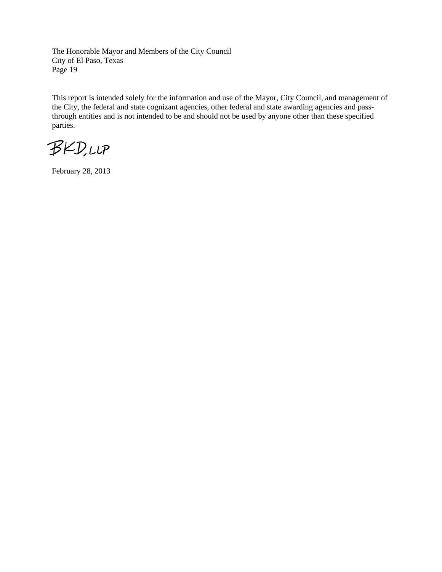The Honorable Mayor and Members of the City Council City of El Paso, Texas Page 19

This report is intended solely for the information and use of the Mayor, City Council, and management of the City, the federal and state cognizant agencies, other federal and state awarding agencies and passthrough entities and is not intended to be and should not be used by anyone other than these specified parties.

**BKD,LLP** 

February 28, 2013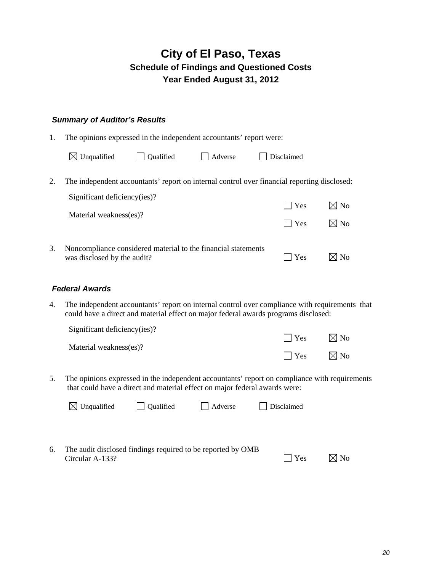#### *Summary of Auditor's Results*

1. The opinions expressed in the independent accountants' report were:

|    | $\boxtimes$ Unqualified      | Qualified | Adverse                                                       | Disclaimed                                                                                  |                |
|----|------------------------------|-----------|---------------------------------------------------------------|---------------------------------------------------------------------------------------------|----------------|
| 2. |                              |           |                                                               | The independent accountants' report on internal control over financial reporting disclosed: |                |
|    | Significant deficiency(ies)? |           |                                                               | $\Box$ Yes                                                                                  | $\boxtimes$ No |
|    | Material weakness(es)?       |           |                                                               | $\vert$ Yes                                                                                 | $\boxtimes$ No |
| 3. | was disclosed by the audit?  |           | Noncompliance considered material to the financial statements | Yes                                                                                         | No             |

#### *Federal Awards*

4. The independent accountants' report on internal control over compliance with requirements that could have a direct and material effect on major federal awards programs disclosed:

| Significant deficiency(ies)? |               |                |
|------------------------------|---------------|----------------|
|                              | $ $ $ $ $Yes$ | $\boxtimes$ No |
| Material weakness(es)?       |               |                |
|                              | $\Box$ Yes    | $\boxtimes$ No |

5. The opinions expressed in the independent accountants' report on compliance with requirements that could have a direct and material effect on major federal awards were:

|    | $\boxtimes$ Unqualified                                     | <b>Qualified</b> | Adverse | Disclaimed        |                |
|----|-------------------------------------------------------------|------------------|---------|-------------------|----------------|
|    |                                                             |                  |         |                   |                |
| 6. | The audit disclosed findings required to be reported by OMB |                  |         |                   |                |
|    | Circular A-133?                                             |                  |         | <b>Yes</b><br>I I | $\boxtimes$ No |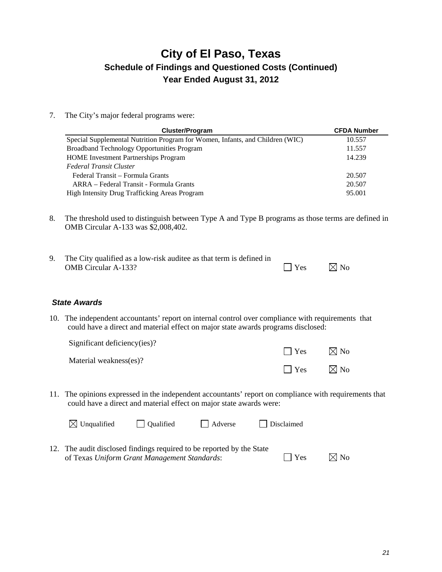7. The City's major federal programs were:

| <b>Cluster/Program</b>                                                        | <b>CFDA Number</b> |
|-------------------------------------------------------------------------------|--------------------|
| Special Supplemental Nutrition Program for Women, Infants, and Children (WIC) | 10.557             |
| <b>Broadband Technology Opportunities Program</b>                             | 11.557             |
| <b>HOME</b> Investment Partnerships Program                                   | 14.239             |
| <b>Federal Transit Cluster</b>                                                |                    |
| Federal Transit – Formula Grants                                              | 20.507             |
| ARRA – Federal Transit - Formula Grants                                       | 20.507             |
| High Intensity Drug Trafficking Areas Program                                 | 95.001             |

8. The threshold used to distinguish between Type A and Type B programs as those terms are defined in OMB Circular A-133 was \$2,008,402.

| The City qualified as a low-risk auditee as that term is defined in |            |                |
|---------------------------------------------------------------------|------------|----------------|
| <b>OMB</b> Circular A-133?                                          | $\Box$ Yes | $\boxtimes$ No |

#### *State Awards*

10. The independent accountants' report on internal control over compliance with requirements that could have a direct and material effect on major state awards programs disclosed:

| Significant deficiency(ies)? |            |                |
|------------------------------|------------|----------------|
| Material weakness(es)?       | $\Box$ Yes | $\boxtimes$ No |
|                              | $\Box$ Yes | $\boxtimes$ No |

11. The opinions expressed in the independent accountants' report on compliance with requirements that could have a direct and material effect on major state awards were:

| $\boxtimes$ Unqualified                                               | Qualified | $\vert$ Adverse | $\Box$ Disclaimed |             |                |
|-----------------------------------------------------------------------|-----------|-----------------|-------------------|-------------|----------------|
| 12. The audit disclosed findings required to be reported by the State |           |                 |                   |             |                |
| of Texas Uniform Grant Management Standards:                          |           |                 |                   | $ $ $ $ Yes | $\boxtimes$ No |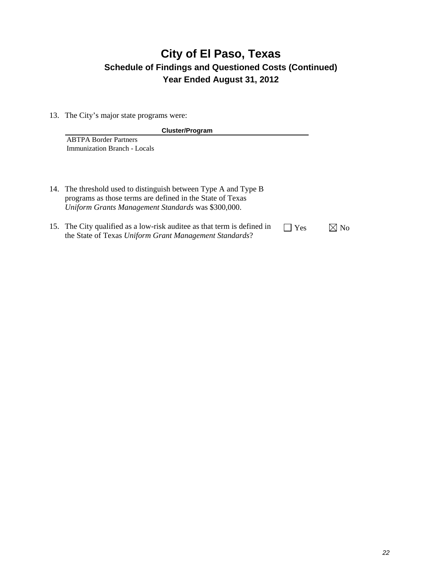13. The City's major state programs were:

| <b>Cluster/Program</b>                                          |
|-----------------------------------------------------------------|
| <b>ABTPA Border Partners</b>                                    |
| Immunization Branch - Locals                                    |
|                                                                 |
|                                                                 |
|                                                                 |
| 14. The threshold used to distinguish between Type A and Type B |
| programs as those terms are defined in the State of Texas       |
| Uniform Grants Management Standards was \$300,000.              |

15. The City qualified as a low-risk auditee as that term is defined in the State of Texas *Uniform Grant Management Standards*?  $\Box$  Yes  $\boxtimes$  No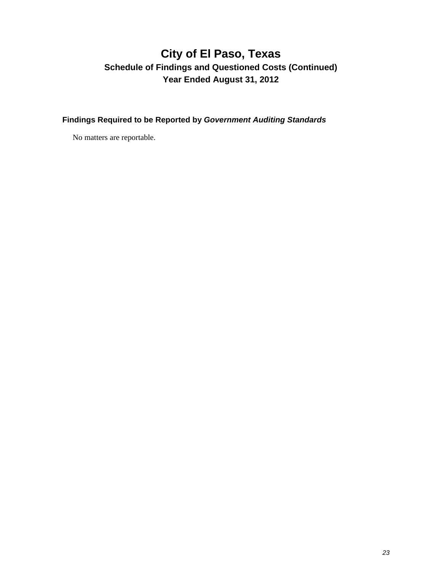**Findings Required to be Reported by** *Government Auditing Standards* 

No matters are reportable.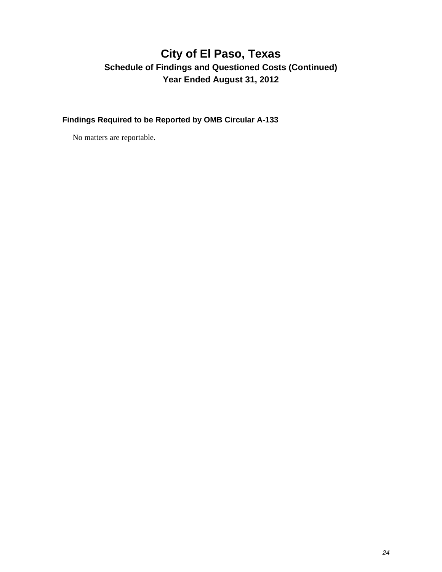**Findings Required to be Reported by OMB Circular A-133** 

No matters are reportable.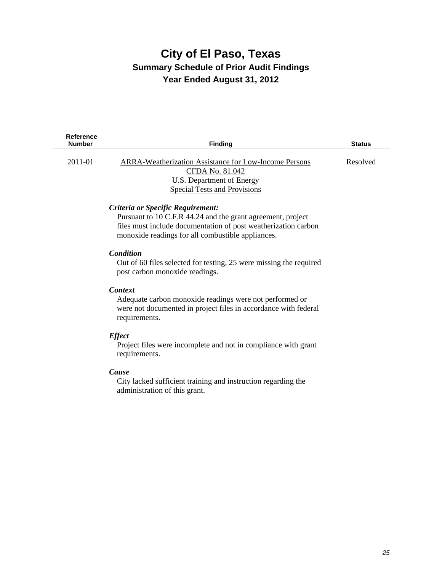### **City of El Paso, Texas Summary Schedule of Prior Audit Findings Year Ended August 31, 2012**

| Reference<br><b>Number</b> | <b>Finding</b>                                                                                                                                                                                                          | <b>Status</b> |
|----------------------------|-------------------------------------------------------------------------------------------------------------------------------------------------------------------------------------------------------------------------|---------------|
| 2011-01                    | <b>ARRA-Weatherization Assistance for Low-Income Persons</b><br>CFDA No. 81.042<br><b>U.S. Department of Energy</b><br><b>Special Tests and Provisions</b>                                                              | Resolved      |
|                            | Criteria or Specific Requirement:<br>Pursuant to 10 C.F.R 44.24 and the grant agreement, project<br>files must include documentation of post weatherization carbon<br>monoxide readings for all combustible appliances. |               |
|                            | Condition<br>Out of 60 files selected for testing, 25 were missing the required<br>post carbon monoxide readings.                                                                                                       |               |
|                            | <b>Context</b><br>Adequate carbon monoxide readings were not performed or<br>were not documented in project files in accordance with federal<br>requirements.                                                           |               |
|                            | <b>Effect</b><br>Project files were incomplete and not in compliance with grant<br>requirements.                                                                                                                        |               |
|                            | Cause<br>City lacked sufficient training and instruction regarding the<br>administration of this grant.                                                                                                                 |               |
|                            |                                                                                                                                                                                                                         |               |
|                            |                                                                                                                                                                                                                         |               |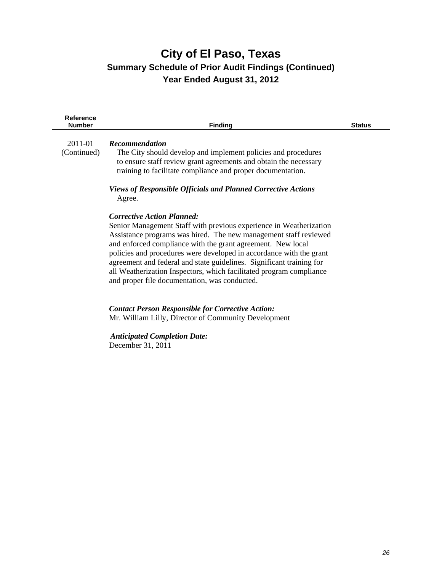### **City of El Paso, Texas Summary Schedule of Prior Audit Findings (Continued) Year Ended August 31, 2012**

| Reference<br><b>Number</b> | <b>Finding</b>                                                                                                                     | <b>Status</b> |
|----------------------------|------------------------------------------------------------------------------------------------------------------------------------|---------------|
| 2011-01                    | <b>Recommendation</b>                                                                                                              |               |
| (Continued)                | The City should develop and implement policies and procedures                                                                      |               |
|                            | to ensure staff review grant agreements and obtain the necessary                                                                   |               |
|                            | training to facilitate compliance and proper documentation.                                                                        |               |
|                            | <b>Views of Responsible Officials and Planned Corrective Actions</b>                                                               |               |
|                            | Agree.                                                                                                                             |               |
|                            | <b>Corrective Action Planned:</b>                                                                                                  |               |
|                            | Senior Management Staff with previous experience in Weatherization                                                                 |               |
|                            | Assistance programs was hired. The new management staff reviewed                                                                   |               |
|                            | and enforced compliance with the grant agreement. New local<br>policies and procedures were developed in accordance with the grant |               |
|                            | agreement and federal and state guidelines. Significant training for                                                               |               |
|                            | all Weatherization Inspectors, which facilitated program compliance                                                                |               |
|                            | and proper file documentation, was conducted.                                                                                      |               |
|                            |                                                                                                                                    |               |
|                            | <b>Contact Person Responsible for Corrective Action:</b>                                                                           |               |
|                            | Mr. William Lilly, Director of Community Development                                                                               |               |
|                            | <b>Anticipated Completion Date:</b>                                                                                                |               |
|                            | December 31, 2011                                                                                                                  |               |
|                            |                                                                                                                                    |               |
|                            |                                                                                                                                    |               |
|                            |                                                                                                                                    |               |
|                            |                                                                                                                                    |               |
|                            |                                                                                                                                    |               |
|                            |                                                                                                                                    |               |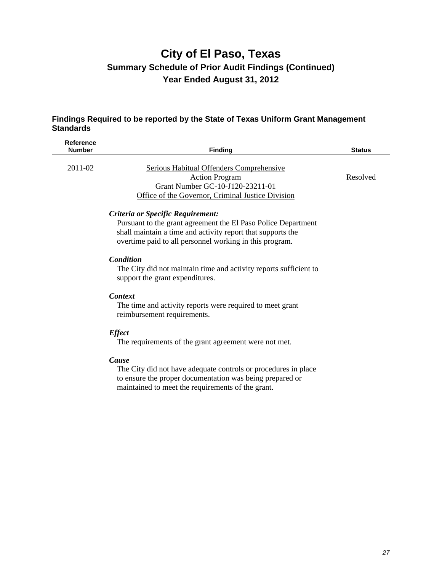### **City of El Paso, Texas Summary Schedule of Prior Audit Findings (Continued) Year Ended August 31, 2012**

#### **Findings Required to be reported by the State of Texas Uniform Grant Management Standards**

| <b>Reference</b><br><b>Number</b> | <b>Finding</b>                                                                                                                                                                                                               | <b>Status</b> |
|-----------------------------------|------------------------------------------------------------------------------------------------------------------------------------------------------------------------------------------------------------------------------|---------------|
| 2011-02                           | Serious Habitual Offenders Comprehensive<br><b>Action Program</b><br>Grant Number GC-10-J120-23211-01<br>Office of the Governor, Criminal Justice Division                                                                   | Resolved      |
|                                   | Criteria or Specific Requirement:<br>Pursuant to the grant agreement the El Paso Police Department<br>shall maintain a time and activity report that supports the<br>overtime paid to all personnel working in this program. |               |
|                                   | Condition<br>The City did not maintain time and activity reports sufficient to<br>support the grant expenditures.                                                                                                            |               |
|                                   | <b>Context</b><br>The time and activity reports were required to meet grant<br>reimbursement requirements.                                                                                                                   |               |
|                                   | <b>Effect</b><br>The requirements of the grant agreement were not met.                                                                                                                                                       |               |
|                                   | Cause<br>The City did not have adequate controls or procedures in place<br>to ensure the proper documentation was being prepared or<br>maintained to meet the requirements of the grant.                                     |               |
|                                   |                                                                                                                                                                                                                              |               |